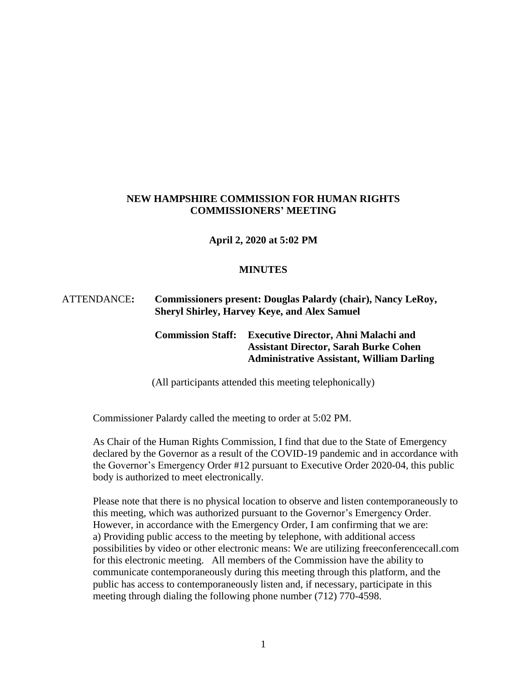# **NEW HAMPSHIRE COMMISSION FOR HUMAN RIGHTS COMMISSIONERS' MEETING**

**April 2, 2020 at 5:02 PM**

#### **MINUTES**

## ATTENDANCE**: Commissioners present: Douglas Palardy (chair), Nancy LeRoy, Sheryl Shirley, Harvey Keye, and Alex Samuel**

# **Commission Staff: Executive Director, Ahni Malachi and Assistant Director, Sarah Burke Cohen Administrative Assistant, William Darling**

(All participants attended this meeting telephonically)

Commissioner Palardy called the meeting to order at 5:02 PM.

As Chair of the Human Rights Commission, I find that due to the State of Emergency declared by the Governor as a result of the COVID-19 pandemic and in accordance with the Governor's Emergency Order #12 pursuant to Executive Order 2020-04, this public body is authorized to meet electronically.

Please note that there is no physical location to observe and listen contemporaneously to this meeting, which was authorized pursuant to the Governor's Emergency Order. However, in accordance with the Emergency Order, I am confirming that we are: a) Providing public access to the meeting by telephone, with additional access possibilities by video or other electronic means: We are utilizing freeconferencecall.com for this electronic meeting. All members of the Commission have the ability to communicate contemporaneously during this meeting through this platform, and the public has access to contemporaneously listen and, if necessary, participate in this meeting through dialing the following phone number (712) 770-4598.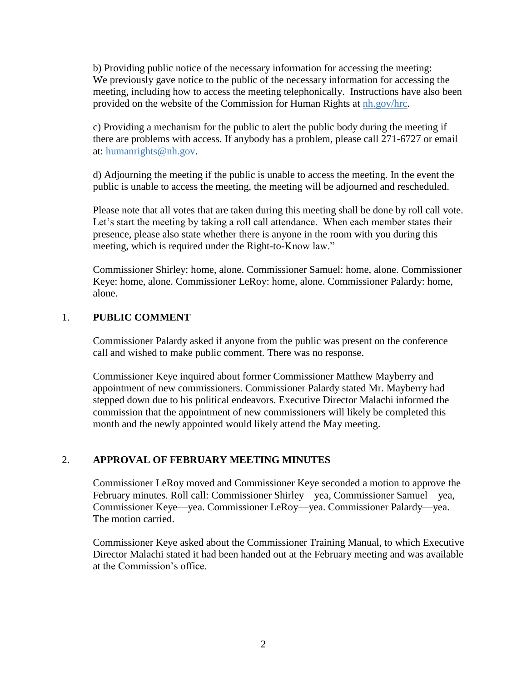b) Providing public notice of the necessary information for accessing the meeting: We previously gave notice to the public of the necessary information for accessing the meeting, including how to access the meeting telephonically. Instructions have also been provided on the website of the Commission for Human Rights at nh.gov/hrc.

c) Providing a mechanism for the public to alert the public body during the meeting if there are problems with access. If anybody has a problem, please call 271-6727 or email at: humanrights@nh.gov.

d) Adjourning the meeting if the public is unable to access the meeting. In the event the public is unable to access the meeting, the meeting will be adjourned and rescheduled.

Please note that all votes that are taken during this meeting shall be done by roll call vote. Let's start the meeting by taking a roll call attendance. When each member states their presence, please also state whether there is anyone in the room with you during this meeting, which is required under the Right-to-Know law."

Commissioner Shirley: home, alone. Commissioner Samuel: home, alone. Commissioner Keye: home, alone. Commissioner LeRoy: home, alone. Commissioner Palardy: home, alone.

#### 1. **PUBLIC COMMENT**

Commissioner Palardy asked if anyone from the public was present on the conference call and wished to make public comment. There was no response.

Commissioner Keye inquired about former Commissioner Matthew Mayberry and appointment of new commissioners. Commissioner Palardy stated Mr. Mayberry had stepped down due to his political endeavors. Executive Director Malachi informed the commission that the appointment of new commissioners will likely be completed this month and the newly appointed would likely attend the May meeting.

# 2. **APPROVAL OF FEBRUARY MEETING MINUTES**

Commissioner LeRoy moved and Commissioner Keye seconded a motion to approve the February minutes. Roll call: Commissioner Shirley—yea, Commissioner Samuel—yea, Commissioner Keye—yea. Commissioner LeRoy—yea. Commissioner Palardy—yea. The motion carried.

Commissioner Keye asked about the Commissioner Training Manual, to which Executive Director Malachi stated it had been handed out at the February meeting and was available at the Commission's office.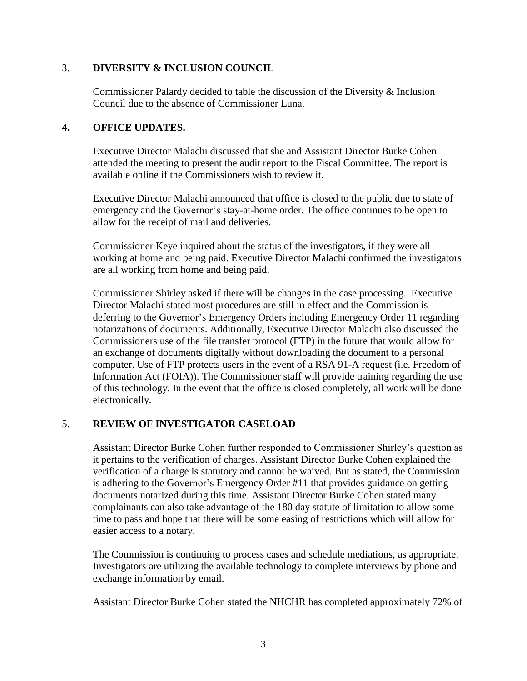## 3. **DIVERSITY & INCLUSION COUNCIL**

Commissioner Palardy decided to table the discussion of the Diversity & Inclusion Council due to the absence of Commissioner Luna.

## **4. OFFICE UPDATES.**

Executive Director Malachi discussed that she and Assistant Director Burke Cohen attended the meeting to present the audit report to the Fiscal Committee. The report is available online if the Commissioners wish to review it.

Executive Director Malachi announced that office is closed to the public due to state of emergency and the Governor's stay-at-home order. The office continues to be open to allow for the receipt of mail and deliveries.

Commissioner Keye inquired about the status of the investigators, if they were all working at home and being paid. Executive Director Malachi confirmed the investigators are all working from home and being paid.

Commissioner Shirley asked if there will be changes in the case processing. Executive Director Malachi stated most procedures are still in effect and the Commission is deferring to the Governor's Emergency Orders including Emergency Order 11 regarding notarizations of documents. Additionally, Executive Director Malachi also discussed the Commissioners use of the file transfer protocol (FTP) in the future that would allow for an exchange of documents digitally without downloading the document to a personal computer. Use of FTP protects users in the event of a RSA 91-A request (i.e. Freedom of Information Act (FOIA)). The Commissioner staff will provide training regarding the use of this technology. In the event that the office is closed completely, all work will be done electronically.

# 5. **REVIEW OF INVESTIGATOR CASELOAD**

Assistant Director Burke Cohen further responded to Commissioner Shirley's question as it pertains to the verification of charges. Assistant Director Burke Cohen explained the verification of a charge is statutory and cannot be waived. But as stated, the Commission is adhering to the Governor's Emergency Order #11 that provides guidance on getting documents notarized during this time. Assistant Director Burke Cohen stated many complainants can also take advantage of the 180 day statute of limitation to allow some time to pass and hope that there will be some easing of restrictions which will allow for easier access to a notary.

The Commission is continuing to process cases and schedule mediations, as appropriate. Investigators are utilizing the available technology to complete interviews by phone and exchange information by email.

Assistant Director Burke Cohen stated the NHCHR has completed approximately 72% of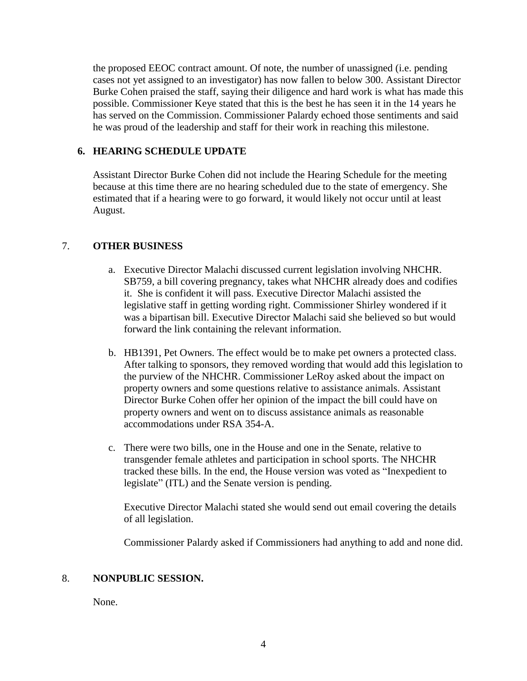the proposed EEOC contract amount. Of note, the number of unassigned (i.e. pending cases not yet assigned to an investigator) has now fallen to below 300. Assistant Director Burke Cohen praised the staff, saying their diligence and hard work is what has made this possible. Commissioner Keye stated that this is the best he has seen it in the 14 years he has served on the Commission. Commissioner Palardy echoed those sentiments and said he was proud of the leadership and staff for their work in reaching this milestone.

## **6. HEARING SCHEDULE UPDATE**

Assistant Director Burke Cohen did not include the Hearing Schedule for the meeting because at this time there are no hearing scheduled due to the state of emergency. She estimated that if a hearing were to go forward, it would likely not occur until at least August.

#### 7. **OTHER BUSINESS**

- a. Executive Director Malachi discussed current legislation involving NHCHR. SB759, a bill covering pregnancy, takes what NHCHR already does and codifies it. She is confident it will pass. Executive Director Malachi assisted the legislative staff in getting wording right. Commissioner Shirley wondered if it was a bipartisan bill. Executive Director Malachi said she believed so but would forward the link containing the relevant information.
- b. HB1391, Pet Owners. The effect would be to make pet owners a protected class. After talking to sponsors, they removed wording that would add this legislation to the purview of the NHCHR. Commissioner LeRoy asked about the impact on property owners and some questions relative to assistance animals. Assistant Director Burke Cohen offer her opinion of the impact the bill could have on property owners and went on to discuss assistance animals as reasonable accommodations under RSA 354-A.
- c. There were two bills, one in the House and one in the Senate, relative to transgender female athletes and participation in school sports. The NHCHR tracked these bills. In the end, the House version was voted as "Inexpedient to legislate" (ITL) and the Senate version is pending.

Executive Director Malachi stated she would send out email covering the details of all legislation.

Commissioner Palardy asked if Commissioners had anything to add and none did.

#### 8. **NONPUBLIC SESSION.**

None.